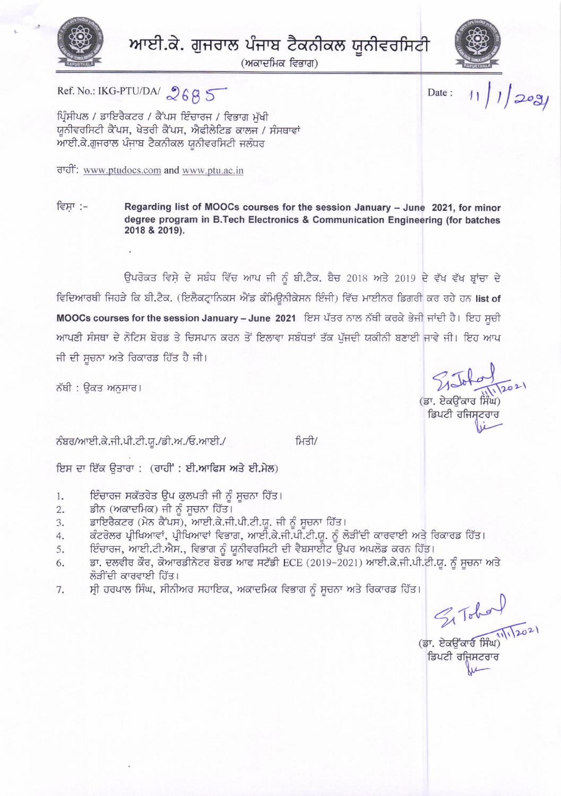

ਆਈ.ਕੇ. ਗੁਜਰਾਲ ਪੰਜਾਬ ਟੈਕਨੀਕਲ ਯੂਨੀਵਰਸਿਟੀ

(ਅਕਾਦਮਿਕ ਵਿਭਾਗ)



Date:

 $11/12091$ 

ਪ੍ਰਿੰਸੀਪਲ / ਡਾਇਰੈਕਟਰ / ਕੈਂਪਸ ਇੰਚਾਰਜ / ਵਿਭਾਗ ਮੱਖੀ ਯੂਨੀਵਰਸਿਟੀ ਕੈਂਪਸ, ਖੇਤਰੀ ਕੈਂਪਸ, ਐਫੀਲੇਟਿਡ ਕਾਲਜ / ਸੰਸਥਾਵਾਂ ਆਈ.ਕੇ.ਗੁਜਰਾਲ ਪੰਜਾਬ ਟੈਕਨੀਕਲ ਯੂਨੀਵਰਸਿਟੀ ਜਲੰਧਰ

ਰਾਹੀ: www.ptudocs.com and www.ptu.ac.in

Ref. No.: IKG-PTU/DA/  $2685$ 

ਵਿਸਾ :-Regarding list of MOOCs courses for the session January - June 2021, for minor degree program in B.Tech Electronics & Communication Engineering (for batches 2018 & 2019).

ਉਪਰੋਕਤ ਵਿਸ਼ੇ ਦੇ ਸਬੰਧ ਵਿੱਚ ਆਪ ਜੀ ਨੂੰ ਬੀ.ਟੈਕ. ਬੈਚ 2018 ਅਤੇ 2019 ਦੇ ਵੱਖ ਵੱਖ ਬਾਂਚਾ ਦੇ ਵਿਦਿਆਰਥੀ ਜਿਹੜੇ ਕਿ ਬੀ.ਟੈਕ. (ਇਲੈਕਟ੍ਰਾਨਿਕਸ ਐਂਡ ਕੰਮਿਊਨੀਕੇਸਨ ਇੰਜੀ) ਵਿੱਚ ਮਾਈਨਰ ਡਿਗਰੀ ਕਰ ਰਹੇ ਹਨ list of MOOCs courses for the session January - June 2021 ਇਸ ਪੱਤਰ ਨਾਲ ਨੱਥੀ ਕਰਕੇ ਭੇਜੀ ਜਾਂਦੀ ਹੈ। ਇਹ ਸੂਚੀ ਆਪਣੀ ਸੰਸਥਾ ਦੇ ਨੋਟਿਸ ਬੋਰਡ ਤੇ ਚਿਸਪਾਨ ਕਰਨ ਤੋਂ ਇਲਾਵਾ ਸਬੰਧਤਾਂ ਤੱਕ ਪੱਜਦੀ ਯਕੀਨੀ ਬਣਾਈ ਜਾਵੇ ਜੀ। ਇਹ ਆਪ ਜੀ ਦੀ ਸੂਚਨਾ ਅਤੇ ਰਿਕਾਰਡ ਹਿੱਤ ਹੈ ਜੀ।

ਨੱਥੀ : ੳਕਤ ਅਨਸਾਰ।

ਨੰਬਰ/ਆਈ.ਕੇ.ਜੀ.ਪੀ.ਟੀ.ਯੂ./ਡੀ.ਅ./ਓ.ਆਈ./

ਮਿਤੀ/

ਇਸ ਦਾ ਇੱਕ ਉਤਾਰਾ : (ਰਾਹੀਂ : ਈ.ਆਫਿਸ ਅਤੇ ਈ.ਮੇਲ)

- ਇੰਚਾਰਜ ਸਕੱਤਰੇਤ ਉਪ ਕੁਲਪਤੀ ਜੀ ਨੂੰ ਸੂਚਨਾ ਹਿੱਤ।  $1.$
- ਡੀਨ (ਅਕਾਦਮਿਕ) ਜੀ ਨੂੰ ਸੂਚਨਾ ਹਿੱਤ।  $2.$
- ਡਾਇਰੈਕਟਰ (ਮੇਨ ਕੈਂਪਸ), ਆਈ.ਕੇ.ਜੀ.ਪੀ.ਟੀ.ਯੂ. ਜੀ ਨੂੰ ਸੂਚਨਾ ਹਿੱਤ। 3.
- ਕੰਟਰੋਲਰ ਪ੍ਰੀਖਿਆਵਾਂ, ਪ੍ਰੀਖਿਆਵਾਂ ਵਿਭਾਗ, ਆਈ.ਕੇ.ਜੀ.ਪੀ.ਟੀ.ਯੂ. ਨੂੰ ਲੋੜੀਂਦੀ ਕਾਰਵਾਈ ਅਤੇ ਰਿਕਾਰਡ ਹਿੱਤ।  $4.$
- ਇੰਚਾਰਜ, ਆਈ.ਟੀ.ਐਸ., ਵਿਭਾਗ ਨੂੰ ਯੂਨੀਵਰਸਿਟੀ ਦੀ ਵੈਬਸਾਈਟ ਉਪਰ ਅਪਲੋਡ ਕਰਨ ਹਿੱਤ। 5.
- ਡਾ. ਦਲਵੀਰ ਕੌਰ, ਕੋਆਰਡੀਨੇਟਰ ਬੋਰਡ ਆਫ ਸਟੱਡੀ ECE (2019-2021) ਆਈ.ਕੇ.ਜੀ.ਪੀ.ਟੀ.ਯੂ. ਨੂੰ ਸੂਚਨਾ ਅਤੇ 6. ਲੋੜੀਂਦੀ ਕਾਰਵਾਈ ਹਿੱਤ।
- ਸ੍ਰੀ ਹਰਪਾਲ ਸਿੰਘ, ਸੀਨੀਅਰ ਸਹਾਇਕ, ਅਕਾਦਮਿਕ ਵਿਭਾਗ ਨੂੰ ਸੂਚਨਾ ਅਤੇ ਰਿਕਾਰਡ ਹਿੱਤ। 7.

 $\leq$  Tobal<br>
(Br. ਏਕਉਂਕਾਰ ਸਿੰਘ)<br>|ਡਿਪਟੀ ਰਜਿਸਟਰਾਰ

(ਡਾ. ਏਕਓਂਕਾਰ ਸਿੰਘ) ਡਿਪਟੀ ਰਜਿਸਟਰਾਰ